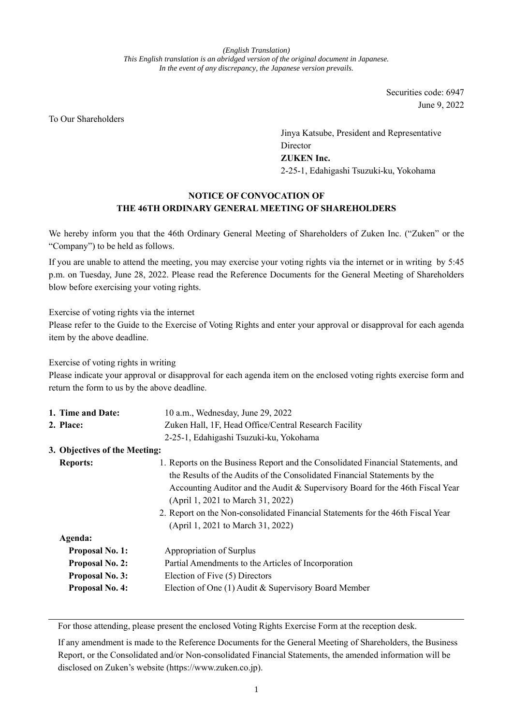*(English Translation) This English translation is an abridged version of the original document in Japanese. In the event of any discrepancy, the Japanese version prevails.*

> Securities code: 6947 June 9, 2022

To Our Shareholders

Jinya Katsube, President and Representative Director **ZUKEN Inc.** 2-25-1, Edahigashi Tsuzuki-ku, Yokohama

# **NOTICE OF CONVOCATION OF THE 46TH ORDINARY GENERAL MEETING OF SHAREHOLDERS**

We hereby inform you that the 46th Ordinary General Meeting of Shareholders of Zuken Inc. ("Zuken" or the "Company") to be held as follows.

If you are unable to attend the meeting, you may exercise your voting rights via the internet or in writing by 5:45 p.m. on Tuesday, June 28, 2022. Please read the Reference Documents for the General Meeting of Shareholders blow before exercising your voting rights.

Exercise of voting rights via the internet

Please refer to the Guide to the Exercise of Voting Rights and enter your approval or disapproval for each agenda item by the above deadline.

Exercise of voting rights in writing

Please indicate your approval or disapproval for each agenda item on the enclosed voting rights exercise form and return the form to us by the above deadline.

|                               | 1. Time and Date:                                     | 10 a.m., Wednesday, June 29, 2022                                                |
|-------------------------------|-------------------------------------------------------|----------------------------------------------------------------------------------|
| 2. Place:                     | Zuken Hall, 1F, Head Office/Central Research Facility |                                                                                  |
|                               |                                                       | 2-25-1, Edahigashi Tsuzuki-ku, Yokohama                                          |
| 3. Objectives of the Meeting: |                                                       |                                                                                  |
| <b>Reports:</b>               |                                                       | 1. Reports on the Business Report and the Consolidated Financial Statements, and |
|                               |                                                       | the Results of the Audits of the Consolidated Financial Statements by the        |
|                               |                                                       | Accounting Auditor and the Audit & Supervisory Board for the 46th Fiscal Year    |
|                               |                                                       | (April 1, 2021 to March 31, 2022)                                                |
|                               |                                                       | 2. Report on the Non-consolidated Financial Statements for the 46th Fiscal Year  |
|                               |                                                       | (April 1, 2021 to March 31, 2022)                                                |
|                               | Agenda:                                               |                                                                                  |
|                               | <b>Proposal No. 1:</b>                                | Appropriation of Surplus                                                         |
|                               | <b>Proposal No. 2:</b>                                | Partial Amendments to the Articles of Incorporation                              |
|                               | Proposal No. 3:                                       | Election of Five (5) Directors                                                   |
|                               | <b>Proposal No. 4:</b>                                | Election of One (1) Audit & Supervisory Board Member                             |
|                               |                                                       |                                                                                  |

For those attending, please present the enclosed Voting Rights Exercise Form at the reception desk.

If any amendment is made to the Reference Documents for the General Meeting of Shareholders, the Business Report, or the Consolidated and/or Non-consolidated Financial Statements, the amended information will be disclosed on Zuken's website (https://www.zuken.co.jp).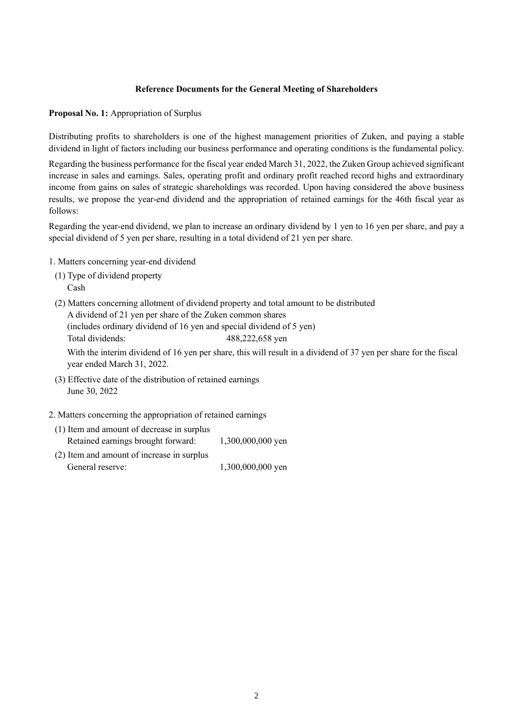### **Reference Documents for the General Meeting of Shareholders**

**Proposal No. 1:** Appropriation of Surplus

Distributing profits to shareholders is one of the highest management priorities of Zuken, and paying a stable dividend in light of factors including our business performance and operating conditions is the fundamental policy.

Regarding the business performance for the fiscal year ended March 31, 2022, the Zuken Group achieved significant increase in sales and earnings. Sales, operating profit and ordinary profit reached record highs and extraordinary income from gains on sales of strategic shareholdings was recorded. Upon having considered the above business results, we propose the year-end dividend and the appropriation of retained earnings for the 46th fiscal year as follows:

Regarding the year-end dividend, we plan to increase an ordinary dividend by 1 yen to 16 yen per share, and pay a special dividend of 5 yen per share, resulting in a total dividend of 21 yen per share.

- 1. Matters concerning year-end dividend
- (1) Type of dividend property Cash
- (2) Matters concerning allotment of dividend property and total amount to be distributed A dividend of 21 yen per share of the Zuken common shares

(includes ordinary dividend of 16 yen and special dividend of 5 yen) Total dividends: 488,222,658 yen

With the interim dividend of 16 yen per share, this will result in a dividend of 37 yen per share for the fiscal year ended March 31, 2022.

- (3) Effective date of the distribution of retained earnings June 30, 2022
- 2. Matters concerning the appropriation of retained earnings

| (1) Item and amount of decrease in surplus |                   |
|--------------------------------------------|-------------------|
| Retained earnings brought forward:         | 1,300,000,000 yen |

(2) Item and amount of increase in surplus General reserve: 1,300,000,000 yen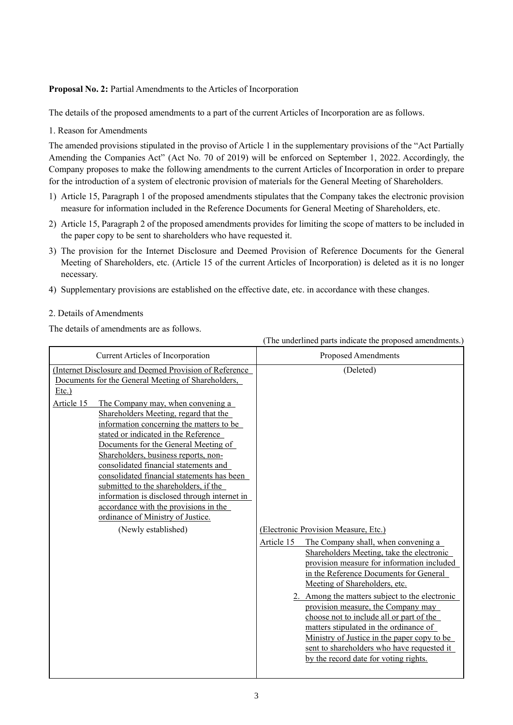### **Proposal No. 2:** Partial Amendments to the Articles of Incorporation

The details of the proposed amendments to a part of the current Articles of Incorporation are as follows.

1. Reason for Amendments

The amended provisions stipulated in the proviso of Article 1 in the supplementary provisions of the "Act Partially Amending the Companies Act" (Act No. 70 of 2019) will be enforced on September 1, 2022. Accordingly, the Company proposes to make the following amendments to the current Articles of Incorporation in order to prepare for the introduction of a system of electronic provision of materials for the General Meeting of Shareholders.

- 1) Article 15, Paragraph 1 of the proposed amendments stipulates that the Company takes the electronic provision measure for information included in the Reference Documents for General Meeting of Shareholders, etc.
- 2) Article 15, Paragraph 2 of the proposed amendments provides for limiting the scope of matters to be included in the paper copy to be sent to shareholders who have requested it.
- 3) The provision for the Internet Disclosure and Deemed Provision of Reference Documents for the General Meeting of Shareholders, etc. (Article 15 of the current Articles of Incorporation) is deleted as it is no longer necessary.
- 4) Supplementary provisions are established on the effective date, etc. in accordance with these changes.

## 2. Details of Amendments

The details of amendments are as follows.

|                                                                                                                                                                                                                                                                                                                                                                                                                                                                                                                                                                                                                                                                               | (The underlined parts indicate the proposed amendments.)                                                                                                                                                                                                                                                                                                                                                                                  |
|-------------------------------------------------------------------------------------------------------------------------------------------------------------------------------------------------------------------------------------------------------------------------------------------------------------------------------------------------------------------------------------------------------------------------------------------------------------------------------------------------------------------------------------------------------------------------------------------------------------------------------------------------------------------------------|-------------------------------------------------------------------------------------------------------------------------------------------------------------------------------------------------------------------------------------------------------------------------------------------------------------------------------------------------------------------------------------------------------------------------------------------|
| Current Articles of Incorporation                                                                                                                                                                                                                                                                                                                                                                                                                                                                                                                                                                                                                                             | Proposed Amendments                                                                                                                                                                                                                                                                                                                                                                                                                       |
| (Internet Disclosure and Deemed Provision of Reference<br>Documents for the General Meeting of Shareholders,<br>$Etc.$ )<br>Article 15<br>The Company may, when convening a<br>Shareholders Meeting, regard that the<br>information concerning the matters to be<br>stated or indicated in the Reference<br>Documents for the General Meeting of<br>Shareholders, business reports, non-<br>consolidated financial statements and<br>consolidated financial statements has been<br>submitted to the shareholders, if the<br>information is disclosed through internet in<br>accordance with the provisions in the<br>ordinance of Ministry of Justice.<br>(Newly established) | (Deleted)<br>(Electronic Provision Measure, Etc.)<br>Article 15<br>The Company shall, when convening a<br>Shareholders Meeting, take the electronic                                                                                                                                                                                                                                                                                       |
|                                                                                                                                                                                                                                                                                                                                                                                                                                                                                                                                                                                                                                                                               | provision measure for information included<br>in the Reference Documents for General<br>Meeting of Shareholders, etc.<br>2. Among the matters subject to the electronic<br>provision measure, the Company may<br>choose not to include all or part of the<br>matters stipulated in the ordinance of<br>Ministry of Justice in the paper copy to be<br>sent to shareholders who have requested it<br>by the record date for voting rights. |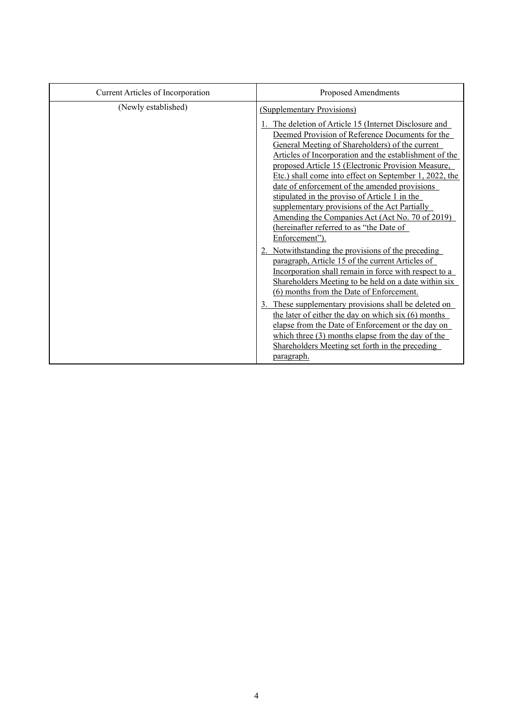| Current Articles of Incorporation | Proposed Amendments                                                                                                                                                                                                                                                                                                                                                                                                                                                                                                                                                                                                                                                                                                                                                                                                                                                                                                                                                                                                                                                                                                                                                        |
|-----------------------------------|----------------------------------------------------------------------------------------------------------------------------------------------------------------------------------------------------------------------------------------------------------------------------------------------------------------------------------------------------------------------------------------------------------------------------------------------------------------------------------------------------------------------------------------------------------------------------------------------------------------------------------------------------------------------------------------------------------------------------------------------------------------------------------------------------------------------------------------------------------------------------------------------------------------------------------------------------------------------------------------------------------------------------------------------------------------------------------------------------------------------------------------------------------------------------|
| (Newly established)               | (Supplementary Provisions)                                                                                                                                                                                                                                                                                                                                                                                                                                                                                                                                                                                                                                                                                                                                                                                                                                                                                                                                                                                                                                                                                                                                                 |
|                                   | The deletion of Article 15 (Internet Disclosure and<br>Deemed Provision of Reference Documents for the<br>General Meeting of Shareholders) of the current<br>Articles of Incorporation and the establishment of the<br>proposed Article 15 (Electronic Provision Measure,<br>Etc.) shall come into effect on September 1, 2022, the<br>date of enforcement of the amended provisions<br>stipulated in the proviso of Article 1 in the<br>supplementary provisions of the Act Partially<br>Amending the Companies Act (Act No. 70 of 2019)<br>(hereinafter referred to as "the Date of<br>Enforcement").<br>2. Notwithstanding the provisions of the preceding<br>paragraph, Article 15 of the current Articles of<br>Incorporation shall remain in force with respect to a<br>Shareholders Meeting to be held on a date within six<br>(6) months from the Date of Enforcement.<br>These supplementary provisions shall be deleted on<br>the later of either the day on which six $(6)$ months<br>elapse from the Date of Enforcement or the day on<br>which three $(3)$ months elapse from the day of the<br>Shareholders Meeting set forth in the preceding<br>paragraph. |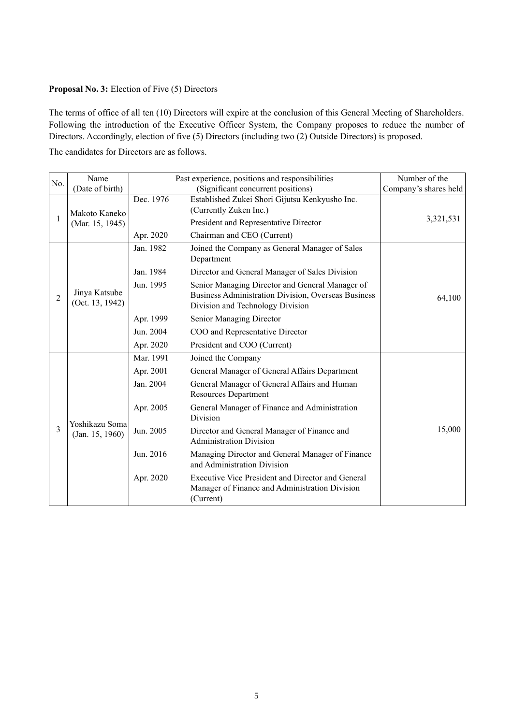#### **Proposal No. 3:** Election of Five (5) Directors

The terms of office of all ten (10) Directors will expire at the conclusion of this General Meeting of Shareholders. Following the introduction of the Executive Officer System, the Company proposes to reduce the number of Directors. Accordingly, election of five (5) Directors (including two (2) Outside Directors) is proposed.

The candidates for Directors are as follows.

| No. | Name                              |           | Past experience, positions and responsibilities                                                                                            | Number of the         |
|-----|-----------------------------------|-----------|--------------------------------------------------------------------------------------------------------------------------------------------|-----------------------|
|     | (Date of birth)                   |           | (Significant concurrent positions)                                                                                                         | Company's shares held |
| 1   | Makoto Kaneko                     | Dec. 1976 | Established Zukei Shori Gijutsu Kenkyusho Inc.<br>(Currently Zuken Inc.)                                                                   | 3,321,531             |
|     | (Mar. 15, 1945)                   |           | President and Representative Director                                                                                                      |                       |
|     |                                   | Apr. 2020 | Chairman and CEO (Current)                                                                                                                 |                       |
|     | Jinya Katsube<br>(Oct. 13, 1942)  | Jan. 1982 | Joined the Company as General Manager of Sales<br>Department                                                                               |                       |
|     |                                   | Jan. 1984 | Director and General Manager of Sales Division                                                                                             |                       |
| 2   |                                   | Jun. 1995 | Senior Managing Director and General Manager of<br>Business Administration Division, Overseas Business<br>Division and Technology Division | 64,100                |
|     |                                   | Apr. 1999 | Senior Managing Director                                                                                                                   |                       |
|     |                                   | Jun. 2004 | COO and Representative Director                                                                                                            |                       |
|     |                                   | Apr. 2020 | President and COO (Current)                                                                                                                |                       |
|     |                                   | Mar. 1991 | Joined the Company                                                                                                                         |                       |
|     | Yoshikazu Soma<br>(Jan. 15, 1960) | Apr. 2001 | General Manager of General Affairs Department                                                                                              |                       |
|     |                                   | Jan. 2004 | General Manager of General Affairs and Human<br><b>Resources Department</b>                                                                |                       |
|     |                                   | Apr. 2005 | General Manager of Finance and Administration<br>Division                                                                                  |                       |
| 3   |                                   | Jun. 2005 | Director and General Manager of Finance and<br><b>Administration Division</b>                                                              | 15,000                |
|     |                                   | Jun. 2016 | Managing Director and General Manager of Finance<br>and Administration Division                                                            |                       |
|     |                                   | Apr. 2020 | Executive Vice President and Director and General<br>Manager of Finance and Administration Division<br>(Current)                           |                       |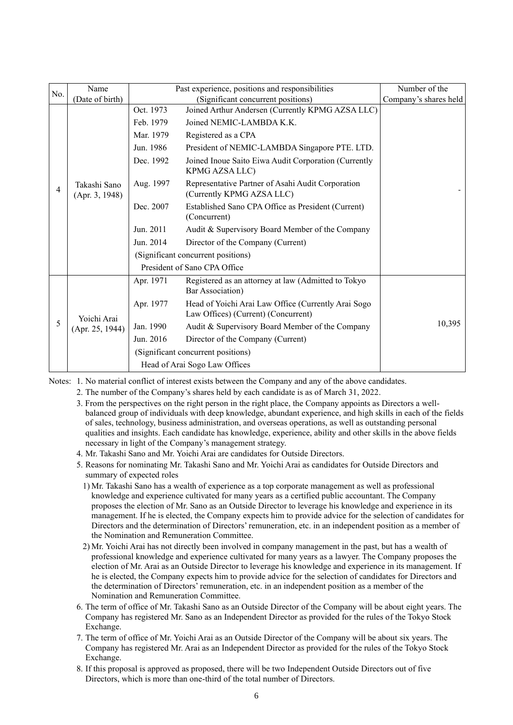| No. | Name                           | Past experience, positions and responsibilities |                                                                                            | Number of the         |
|-----|--------------------------------|-------------------------------------------------|--------------------------------------------------------------------------------------------|-----------------------|
|     | (Date of birth)                |                                                 | (Significant concurrent positions)                                                         | Company's shares held |
|     | Takashi Sano<br>(Apr. 3, 1948) | Oct. 1973                                       | Joined Arthur Andersen (Currently KPMG AZSA LLC)                                           |                       |
|     |                                | Feb. 1979                                       | Joined NEMIC-LAMBDA K.K.                                                                   |                       |
|     |                                | Mar. 1979                                       | Registered as a CPA                                                                        |                       |
|     |                                | Jun. 1986                                       | President of NEMIC-LAMBDA Singapore PTE. LTD.                                              |                       |
|     |                                | Dec. 1992                                       | Joined Inoue Saito Eiwa Audit Corporation (Currently<br>KPMG AZSA LLC)                     |                       |
| 4   |                                | Aug. 1997                                       | Representative Partner of Asahi Audit Corporation<br>(Currently KPMG AZSA LLC)             |                       |
|     |                                | Dec. 2007                                       | Established Sano CPA Office as President (Current)<br>(Concurrent)                         |                       |
|     |                                | Jun. 2011                                       | Audit & Supervisory Board Member of the Company                                            |                       |
|     |                                | Jun. 2014                                       | Director of the Company (Current)                                                          |                       |
|     |                                |                                                 | (Significant concurrent positions)                                                         |                       |
|     |                                | President of Sano CPA Office                    |                                                                                            |                       |
|     | Yoichi Arai<br>(Apr. 25, 1944) | Apr. 1971                                       | Registered as an attorney at law (Admitted to Tokyo<br>Bar Association)                    |                       |
|     |                                | Apr. 1977                                       | Head of Yoichi Arai Law Office (Currently Arai Sogo<br>Law Offices) (Current) (Concurrent) |                       |
| 5   |                                | Jan. 1990                                       | Audit & Supervisory Board Member of the Company                                            | 10,395                |
|     |                                | Jun. 2016                                       | Director of the Company (Current)                                                          |                       |
|     |                                |                                                 | (Significant concurrent positions)                                                         |                       |
|     |                                |                                                 | Head of Arai Sogo Law Offices                                                              |                       |
|     |                                |                                                 |                                                                                            |                       |

Notes: 1. No material conflict of interest exists between the Company and any of the above candidates.

- 2. The number of the Company's shares held by each candidate is as of March 31, 2022.
- 3. From the perspectives on the right person in the right place, the Company appoints as Directors a wellbalanced group of individuals with deep knowledge, abundant experience, and high skills in each of the fields of sales, technology, business administration, and overseas operations, as well as outstanding personal qualities and insights. Each candidate has knowledge, experience, ability and other skills in the above fields necessary in light of the Company's management strategy.
- 4. Mr. Takashi Sano and Mr. Yoichi Arai are candidates for Outside Directors.
- 5. Reasons for nominating Mr. Takashi Sano and Mr. Yoichi Arai as candidates for Outside Directors and summary of expected roles
	- 1) Mr. Takashi Sano has a wealth of experience as a top corporate management as well as professional knowledge and experience cultivated for many years as a certified public accountant. The Company proposes the election of Mr. Sano as an Outside Director to leverage his knowledge and experience in its management. If he is elected, the Company expects him to provide advice for the selection of candidates for Directors and the determination of Directors' remuneration, etc. in an independent position as a member of the Nomination and Remuneration Committee.
- 2) Mr. Yoichi Arai has not directly been involved in company management in the past, but has a wealth of professional knowledge and experience cultivated for many years as a lawyer. The Company proposes the election of Mr. Arai as an Outside Director to leverage his knowledge and experience in its management. If he is elected, the Company expects him to provide advice for the selection of candidates for Directors and the determination of Directors' remuneration, etc. in an independent position as a member of the Nomination and Remuneration Committee.
- 6. The term of office of Mr. Takashi Sano as an Outside Director of the Company will be about eight years. The Company has registered Mr. Sano as an Independent Director as provided for the rules of the Tokyo Stock Exchange.
- 7. The term of office of Mr. Yoichi Arai as an Outside Director of the Company will be about six years. The Company has registered Mr. Arai as an Independent Director as provided for the rules of the Tokyo Stock Exchange.
- 8. If this proposal is approved as proposed, there will be two Independent Outside Directors out of five Directors, which is more than one-third of the total number of Directors.